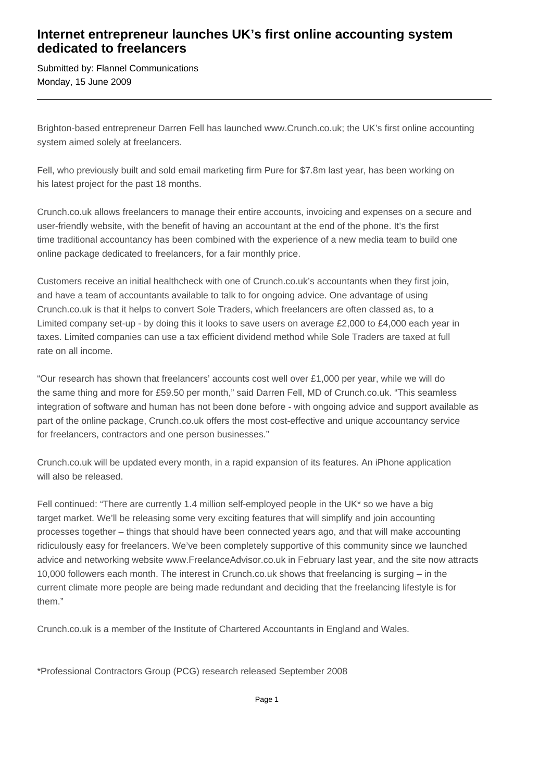## **Internet entrepreneur launches UK's first online accounting system dedicated to freelancers**

Submitted by: Flannel Communications Monday, 15 June 2009

Brighton-based entrepreneur Darren Fell has launched www.Crunch.co.uk; the UK's first online accounting system aimed solely at freelancers.

Fell, who previously built and sold email marketing firm Pure for \$7.8m last year, has been working on his latest project for the past 18 months.

Crunch.co.uk allows freelancers to manage their entire accounts, invoicing and expenses on a secure and user-friendly website, with the benefit of having an accountant at the end of the phone. It's the first time traditional accountancy has been combined with the experience of a new media team to build one online package dedicated to freelancers, for a fair monthly price.

Customers receive an initial healthcheck with one of Crunch.co.uk's accountants when they first join, and have a team of accountants available to talk to for ongoing advice. One advantage of using Crunch.co.uk is that it helps to convert Sole Traders, which freelancers are often classed as, to a Limited company set-up - by doing this it looks to save users on average £2,000 to £4,000 each year in taxes. Limited companies can use a tax efficient dividend method while Sole Traders are taxed at full rate on all income.

"Our research has shown that freelancers' accounts cost well over £1,000 per year, while we will do the same thing and more for £59.50 per month," said Darren Fell, MD of Crunch.co.uk. "This seamless integration of software and human has not been done before - with ongoing advice and support available as part of the online package, Crunch.co.uk offers the most cost-effective and unique accountancy service for freelancers, contractors and one person businesses."

Crunch.co.uk will be updated every month, in a rapid expansion of its features. An iPhone application will also be released.

Fell continued: "There are currently 1.4 million self-employed people in the UK\* so we have a big target market. We'll be releasing some very exciting features that will simplify and join accounting processes together – things that should have been connected years ago, and that will make accounting ridiculously easy for freelancers. We've been completely supportive of this community since we launched advice and networking website www.FreelanceAdvisor.co.uk in February last year, and the site now attracts 10,000 followers each month. The interest in Crunch.co.uk shows that freelancing is surging – in the current climate more people are being made redundant and deciding that the freelancing lifestyle is for them."

Crunch.co.uk is a member of the Institute of Chartered Accountants in England and Wales.

\*Professional Contractors Group (PCG) research released September 2008